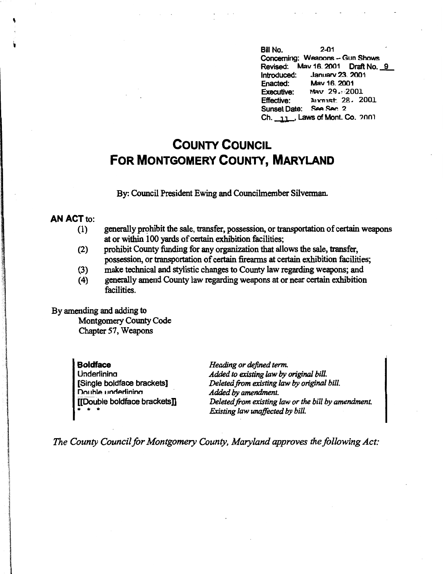Bill No. 2-01 Concerning: Weapons - Gun Shows Revised: Mav 16. 2001 Draft No. 9<br>Introduced: January 23. 2001 Introduced: Januarv 23\_ 2001 **Enacted:** May 16, 2001<br>Executive: May 29.: 20 **Executive:** May 29., 2001<br>**Effective: Aixrust 28. 2** Effective: n,im,st 28. 2001 Sunset Date: See Sec. 2 Ch.  $\frac{11}{11}$ , Laws of Mont. Co.  $\frac{2001}{1000}$ 

## **COUNTY COUNCIL FOR MONTGOMERY COUNTY, MARYLAND**

By: Council President Ewing and Councilmember Silverman.

## **AN ACT** to:

- (1) generally prohibit the sale, transfer, possession, or transportation of certain weapons at or within 100 yards of certain exhibition facilities;
- (2) prohibit County funding for any organization that allows the sale, transfer, possession, or transportation of certain firearms at certain exhibition facilities;
- (3) make technical and stylistic changes to County law regarding weapons; and
- (4) generally amend County law regarding weapons at or near certain exhibition facilities.

By amending and adding to

Montgomery County Code Chapter 57, Weapons

**Boldface**  Underlinina [Single boldface brackets] Double underlining [[Double boldface brackets]] • • •

*Heading or defined term. Added to existing law by original bill. Deleted from existing law by original bill. Added by amendment. Deleted from existing law or the bill by amendment. Existing law unaffected by bill.* 

*The County Council for Montgomery County, Maryland approves the following Act:*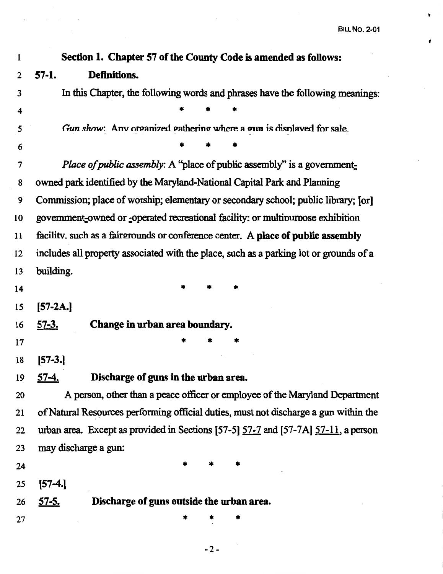٠

 $\bullet$ 

| Section 1. Chapter 57 of the County Code is amended as follows:                        |  |  |  |  |
|----------------------------------------------------------------------------------------|--|--|--|--|
| $57-1.$<br>Definitions.                                                                |  |  |  |  |
| In this Chapter, the following words and phrases have the following meanings:          |  |  |  |  |
|                                                                                        |  |  |  |  |
| Gun show: Any organized gathering where a gun is displayed for sale.                   |  |  |  |  |
|                                                                                        |  |  |  |  |
| <i>Place of public assembly:</i> A "place of public assembly" is a government-         |  |  |  |  |
| owned park identified by the Maryland-National Capital Park and Planning               |  |  |  |  |
| Commission; place of worship; elementary or secondary school; public library; [or]     |  |  |  |  |
| government-owned or -operated recreational facility: or multipurpose exhibition        |  |  |  |  |
| facility. such as a fairgrounds or conference center. A place of public assembly       |  |  |  |  |
| includes all property associated with the place, such as a parking lot or grounds of a |  |  |  |  |
| building.                                                                              |  |  |  |  |
|                                                                                        |  |  |  |  |
| $[57-2A.]$                                                                             |  |  |  |  |
| Change in urban area boundary.<br><u>57-3.</u>                                         |  |  |  |  |
|                                                                                        |  |  |  |  |
| [57-3.]                                                                                |  |  |  |  |
| 57-4.<br>Discharge of guns in the urban area.                                          |  |  |  |  |
| A person, other than a peace officer or employee of the Maryland Department            |  |  |  |  |
| of Natural Resources performing official duties, must not discharge a gun within the   |  |  |  |  |
| urban area. Except as provided in Sections [57-5] 57-7 and [57-7A] 57-11, a person     |  |  |  |  |
| may discharge a gun:                                                                   |  |  |  |  |
|                                                                                        |  |  |  |  |
| $[57-4.]$                                                                              |  |  |  |  |
| Discharge of guns outside the urban area.<br><u>57-5.</u>                              |  |  |  |  |
|                                                                                        |  |  |  |  |
|                                                                                        |  |  |  |  |

-2-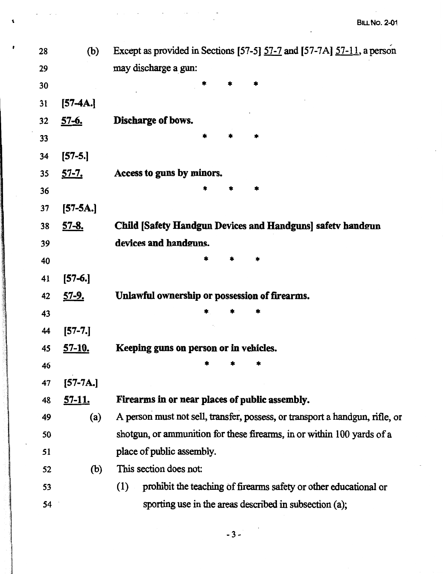| 28 | (b)           | Except as provided in Sections [57-5] 57-7 and [57-7A] 57-11, a person       |
|----|---------------|------------------------------------------------------------------------------|
| 29 |               | may discharge a gun:                                                         |
| 30 |               |                                                                              |
| 31 | $[57-4A.]$    |                                                                              |
| 32 | <u>57-6.</u>  | Discharge of bows.                                                           |
| 33 |               |                                                                              |
| 34 | $[57-5.]$     |                                                                              |
| 35 | <u>57-7.</u>  | Access to guns by minors.                                                    |
| 36 |               |                                                                              |
| 37 | $[57 - 5A.]$  |                                                                              |
| 38 | <u>57-8.</u>  | <b>Child [Safety Handgun Devices and Handguns] safety handgun</b>            |
| 39 |               | devices and handguns.                                                        |
| 40 |               | *                                                                            |
| 41 | $[57-6.]$     |                                                                              |
| 42 | <u>57-9.</u>  | Unlawful ownership or possession of firearms.                                |
| 43 |               |                                                                              |
| 44 | $[57-7.]$     |                                                                              |
| 45 | <u>57-10.</u> | Keeping guns on person or in vehicles.                                       |
| 46 |               |                                                                              |
| 47 | $[57-7A.]$    |                                                                              |
| 48 | <u>57-11.</u> | Firearms in or near places of public assembly.                               |
| 49 | (a)           | A person must not sell, transfer, possess, or transport a handgun, rifle, or |
| 50 |               | shotgun, or ammunition for these firearms, in or within 100 yards of a       |
| 51 |               | place of public assembly.                                                    |
| 52 | (b)           | This section does not:                                                       |
| 53 |               | prohibit the teaching of firearms safety or other educational or<br>(1)      |
| 54 |               | sporting use in the areas described in subsection (a);                       |

 $\ddot{\phantom{0}}$ 

 $\mathbf t$ 

ł

 $-3-$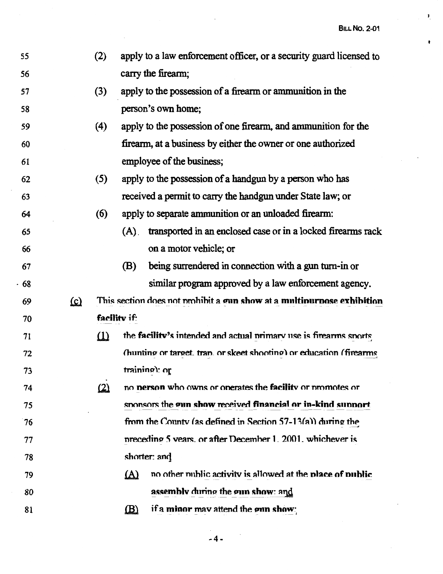**BILL No. 2-01** 

 $\mathbf{I}$ 

 $\bullet$ 

| 55   |            | (2)      | apply to a law enforcement officer, or a security guard licensed to      |
|------|------------|----------|--------------------------------------------------------------------------|
| 56   |            |          | carry the firearm;                                                       |
| 57   |            | (3)      | apply to the possession of a firearm or ammunition in the                |
| 58   |            |          | person's own home;                                                       |
| 59   |            | (4)      | apply to the possession of one firearm, and ammunition for the           |
| 60   |            |          | firearm, at a business by either the owner or one authorized             |
| 61   |            |          | employee of the business;                                                |
| 62   |            | (5)      | apply to the possession of a handgun by a person who has                 |
| 63   |            |          | received a permit to carry the handgun under State law; or               |
| 64   |            | (6)      | apply to separate ammunition or an unloaded firearm:                     |
| 65   |            |          | transported in an enclosed case or in a locked firearms rack<br>$(A)$ .  |
| 66   |            |          | on a motor vehicle; or                                                   |
| 67   |            |          | being surrendered in connection with a gun turn-in or<br>(B)             |
| - 68 |            |          | similar program approved by a law enforcement agency.                    |
| 69   | <u>(c)</u> |          | This section does not prohibit a gun show at a multipurpose exhibition   |
| 70   |            |          | facility if:                                                             |
| 71   |            | $\Omega$ | the facility's intended and actual primary use is firearms sports        |
| 72   |            |          | (hunting or target, tran. or skeet shooting) or education (firearms      |
| 73   |            |          | training): or                                                            |
| 74   |            | $\omega$ | no <b>person</b> who owns or operates the <b>facility</b> or promotes or |
| 75   |            |          | sponsors the gun show received financial or in-kind support              |
| 76   |            |          | from the County (as defined in Section 57-13(a)) during the              |
| 77   |            |          | preceding 5 years, or after December 1, 2001, whichever is               |
| 78   |            |          | shorter: and                                                             |
| 79   |            |          | no other mublic activity is allowed at the place of public<br>$\Delta$   |
|      |            |          |                                                                          |
| 80   |            |          | assembly during the gun show: and                                        |
| 81   |            |          | if a minor may attend the gun show:<br>$\mathbf{B}$                      |

 $\bar{z}$ 

-4-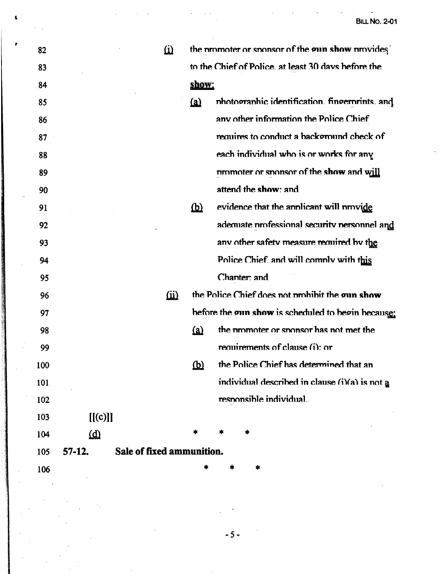| 82  |                         | $\hat{\underline{\mathbf{u}}}$ |                           | the promoter or sponsor of the gun show provides    |
|-----|-------------------------|--------------------------------|---------------------------|-----------------------------------------------------|
| 83  |                         |                                |                           | to the Chief of Police, at least 30 days before the |
| 84  |                         |                                | show:                     |                                                     |
| 85  |                         |                                | (a)                       | photographic identification. fingerprints, and      |
| 86  |                         |                                |                           | any other information the Police Chief              |
| 87  |                         |                                |                           | requires to conduct a background check of           |
| 88  |                         |                                |                           | each individual who is or works for any             |
| 89  |                         |                                |                           | promoter or sponsor of the show and will            |
| 90  |                         |                                |                           | attend the show: and                                |
| 91  |                         |                                | <u>(b</u>                 | evidence that the annicant will nrovide             |
| 92  |                         |                                |                           | ademiate professional security personnel and        |
| 93  |                         |                                |                           | any other safety measure required by the            |
| 94  |                         |                                |                           | Police Chief and will comply with this              |
| 95  |                         |                                |                           | Chanter: and                                        |
| 96  |                         | $\omega$                       |                           | the Police Chief does not prohibit the gun show     |
| 97  |                         |                                |                           | before the oun show is scheduled to begin because:  |
| 98  |                         |                                | (a)                       | the promoter or sponsor has not met the             |
| 99  |                         |                                |                           | requirements of clause (i): or                      |
| 100 |                         |                                | $\overline{\mathfrak{P}}$ | the Police Chief has determined that an             |
| 101 |                         |                                |                           | individual described in clause (i)(a) is not a      |
| 102 |                         |                                |                           | responsible individual.                             |
| 103 | [[(c)]]                 |                                |                           |                                                     |
| 104 | $\overline{\mathbf{d}}$ |                                |                           |                                                     |
| 105 | $57-12.$                | Sale of fixed ammunition.      |                           |                                                     |
| 106 |                         |                                |                           |                                                     |
|     |                         |                                |                           |                                                     |

 $-5-$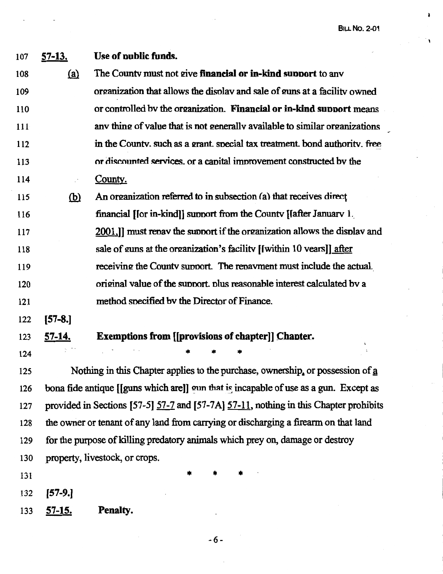**BILL No. 2-01** 

. '

¥

| 107 | <u>57-13.</u>                                                                         | Use of public funds.                                                                  |  |  |  |
|-----|---------------------------------------------------------------------------------------|---------------------------------------------------------------------------------------|--|--|--|
| 108 | (a)                                                                                   | The County must not give financial or in-kind support to any                          |  |  |  |
| 109 |                                                                                       | organization that allows the display and sale of guns at a facility owned             |  |  |  |
| 110 |                                                                                       | or controlled by the organization. Financial or in-kind support means                 |  |  |  |
| 111 |                                                                                       | any thing of value that is not generally available to similar organizations           |  |  |  |
| 112 |                                                                                       | in the County, such as a grant, special tax treatment, bond authority, free           |  |  |  |
| 113 |                                                                                       | or discounted services, or a capital improvement constructed by the                   |  |  |  |
| 114 |                                                                                       | County.                                                                               |  |  |  |
| 115 | $\overline{\mathbf{p}}$                                                               | An organization referred to in subsection (a) that receives direct                    |  |  |  |
| 116 |                                                                                       | financial [for in-kind]] support from the County [fafter January 1.                   |  |  |  |
| 117 |                                                                                       | 2001.]] must repay the support if the organization allows the display and             |  |  |  |
| 118 |                                                                                       | sale of guns at the organization's facility [[within 10 years]] after                 |  |  |  |
| 119 |                                                                                       | receiving the County support. The repayment must include the actual.                  |  |  |  |
| 120 |                                                                                       | original value of the support, plus reasonable interest calculated by a               |  |  |  |
| 121 |                                                                                       | method specified by the Director of Finance.                                          |  |  |  |
| 122 | $[57-8.]$                                                                             |                                                                                       |  |  |  |
| 123 | <u>57-14.</u>                                                                         | <b>Exemptions from [[provisions of chapter]] Chapter.</b>                             |  |  |  |
| 124 |                                                                                       |                                                                                       |  |  |  |
| 125 |                                                                                       | Nothing in this Chapter applies to the purchase, ownership, or possession of a        |  |  |  |
| 126 |                                                                                       | bona fide antique [[guns which are]] oun that is incapable of use as a gun. Except as |  |  |  |
| 127 | provided in Sections [57-5] 57-7 and [57-7A] 57-11, nothing in this Chapter prohibits |                                                                                       |  |  |  |
| 128 | the owner or tenant of any land from carrying or discharging a firearm on that land   |                                                                                       |  |  |  |
| 129 | for the purpose of killing predatory animals which prey on, damage or destroy         |                                                                                       |  |  |  |
| 130 |                                                                                       | property, livestock, or crops.                                                        |  |  |  |
| 131 |                                                                                       |                                                                                       |  |  |  |
| 132 | [57-9.]                                                                               |                                                                                       |  |  |  |
| 133 | <u>57-15.</u>                                                                         | Penalty.                                                                              |  |  |  |

-6-

 $\bar{\phantom{a}}$